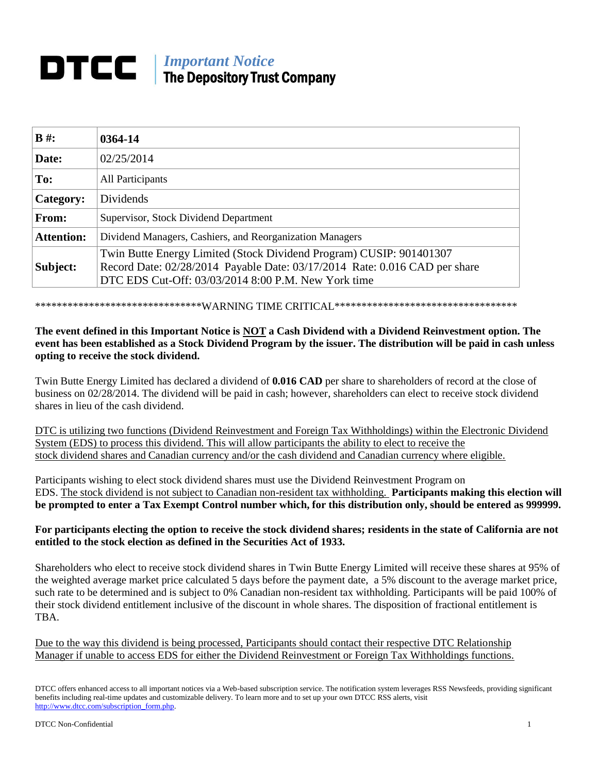# *Important Notice* The Depository Trust Company

| $B \#$ :          | 0364-14                                                                                                                                                                                                  |
|-------------------|----------------------------------------------------------------------------------------------------------------------------------------------------------------------------------------------------------|
| Date:             | 02/25/2014                                                                                                                                                                                               |
| To:               | All Participants                                                                                                                                                                                         |
| Category:         | Dividends                                                                                                                                                                                                |
| From:             | Supervisor, Stock Dividend Department                                                                                                                                                                    |
| <b>Attention:</b> | Dividend Managers, Cashiers, and Reorganization Managers                                                                                                                                                 |
| Subject:          | Twin Butte Energy Limited (Stock Dividend Program) CUSIP: 901401307<br>Record Date: 02/28/2014 Payable Date: 03/17/2014 Rate: 0.016 CAD per share<br>DTC EDS Cut-Off: 03/03/2014 8:00 P.M. New York time |

\*\*\*\*\*\*\*\*\*\*\*\*\*\*\*\*\*\*\*\*\*\*\*\*\*\*\*\*\*\*\*\*WARNING TIME CRITICAL\*\*\*\*\*\*\*\*\*\*\*\*\*\*\*\*\*\*\*\*\*\*\*\*\*\*\*\*\*\*\*\*\*\*

# **The event defined in this Important Notice is NOT a Cash Dividend with a Dividend Reinvestment option. The event has been established as a Stock Dividend Program by the issuer. The distribution will be paid in cash unless opting to receive the stock dividend.**

Twin Butte Energy Limited has declared a dividend of **0.016 CAD** per share to shareholders of record at the close of business on 02/28/2014. The dividend will be paid in cash; however, shareholders can elect to receive stock dividend shares in lieu of the cash dividend.

DTC is utilizing two functions (Dividend Reinvestment and Foreign Tax Withholdings) within the Electronic Dividend System (EDS) to process this dividend. This will allow participants the ability to elect to receive the stock dividend shares and Canadian currency and/or the cash dividend and Canadian currency where eligible.

Participants wishing to elect stock dividend shares must use the Dividend Reinvestment Program on EDS. The stock dividend is not subject to Canadian non-resident tax withholding. **Participants making this election will be prompted to enter a Tax Exempt Control number which, for this distribution only, should be entered as 999999.**

## **For participants electing the option to receive the stock dividend shares; residents in the state of California are not entitled to the stock election as defined in the Securities Act of 1933.**

Shareholders who elect to receive stock dividend shares in Twin Butte Energy Limited will receive these shares at 95% of the weighted average market price calculated 5 days before the payment date, a 5% discount to the average market price, such rate to be determined and is subject to 0% Canadian non-resident tax withholding. Participants will be paid 100% of their stock dividend entitlement inclusive of the discount in whole shares. The disposition of fractional entitlement is TBA.

Due to the way this dividend is being processed, Participants should contact their respective DTC Relationship Manager if unable to access EDS for either the Dividend Reinvestment or Foreign Tax Withholdings functions.

DTCC offers enhanced access to all important notices via a Web-based subscription service. The notification system leverages RSS Newsfeeds, providing significant benefits including real-time updates and customizable delivery. To learn more and to set up your own DTCC RSS alerts, visit http://www.dtcc.com/subscription\_form.php.